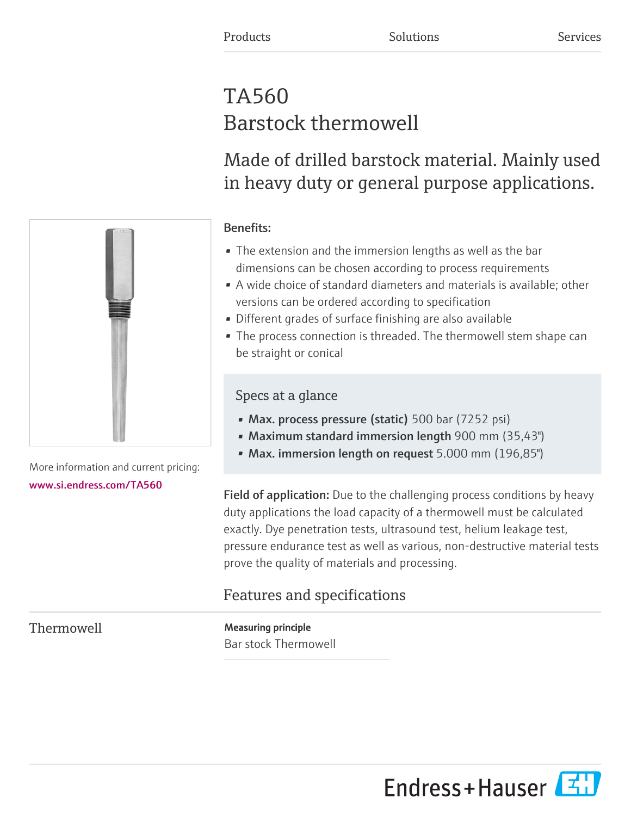# TA560 Barstock thermowell

Made of drilled barstock material. Mainly used in heavy duty or general purpose applications.

### Benefits:

- The extension and the immersion lengths as well as the bar dimensions can be chosen according to process requirements
- A wide choice of standard diameters and materials is available; other versions can be ordered according to specification
- Different grades of surface finishing are also available
- The process connection is threaded. The thermowell stem shape can be straight or conical

### Specs at a glance

- Max. process pressure (static) 500 bar (7252 psi)
- Maximum standard immersion length 900 mm (35,43")
- Max. immersion length on request 5.000 mm (196,85")

Field of application: Due to the challenging process conditions by heavy duty applications the load capacity of a thermowell must be calculated exactly. Dye penetration tests, ultrasound test, helium leakage test, pressure endurance test as well as various, non-destructive material tests prove the quality of materials and processing.

## Features and specifications

Thermowell **Measuring principle** Bar stock Thermowell



More information and current pricing:

[www.si.endress.com/TA560](https://www.si.endress.com/TA560)

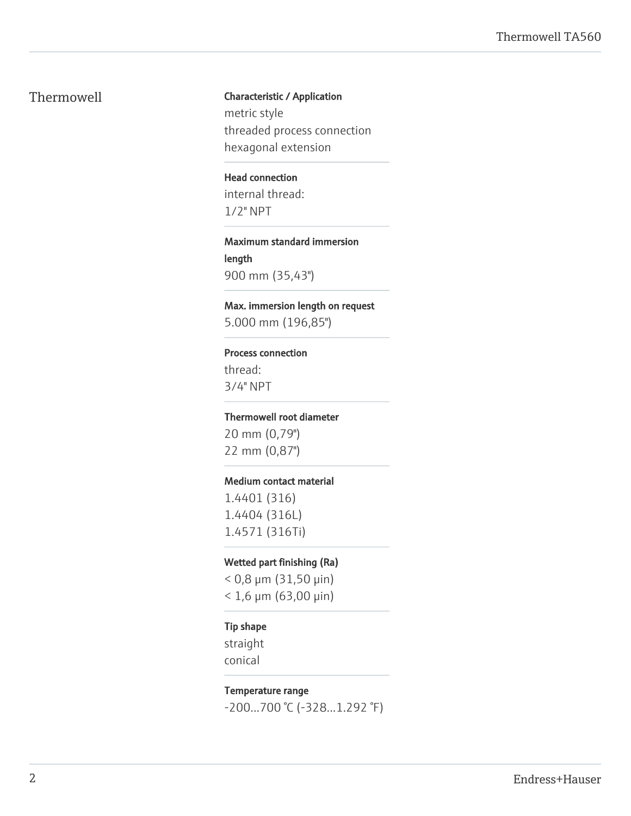Thermowell **Characteristic / Application** metric style threaded process connection hexagonal extension

> Head connection internal thread: 1/2" NPT

Maximum standard immersion length 900 mm (35,43")

Max. immersion length on request 5.000 mm (196,85")

#### Process connection

thread: 3/4" NPT

#### Thermowell root diameter

20 mm (0,79") 22 mm (0,87")

#### Medium contact material

1.4401 (316) 1.4404 (316L) 1.4571 (316Ti)

#### Wetted part finishing (Ra)

< 0,8 μm (31,50 μin)  $< 1,6$  μm (63,00 μin)

### Tip shape

straight conical

#### Temperature range

-200...700 °C (-328...1.292 °F)